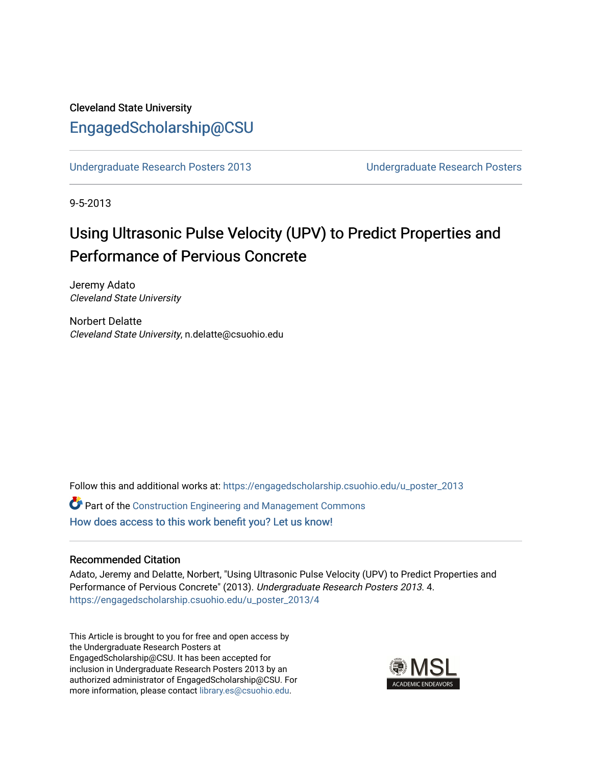# Cleveland State University [EngagedScholarship@CSU](https://engagedscholarship.csuohio.edu/)

[Undergraduate Research Posters 2013](https://engagedscholarship.csuohio.edu/u_poster_2013) [Undergraduate Research Posters](https://engagedscholarship.csuohio.edu/u_poster) 

9-5-2013

# Using Ultrasonic Pulse Velocity (UPV) to Predict Properties and Performance of Pervious Concrete

Jeremy Adato Cleveland State University

Norbert Delatte Cleveland State University, n.delatte@csuohio.edu

Follow this and additional works at: [https://engagedscholarship.csuohio.edu/u\\_poster\\_2013](https://engagedscholarship.csuohio.edu/u_poster_2013?utm_source=engagedscholarship.csuohio.edu%2Fu_poster_2013%2F4&utm_medium=PDF&utm_campaign=PDFCoverPages) 

Part of the [Construction Engineering and Management Commons](http://network.bepress.com/hgg/discipline/253?utm_source=engagedscholarship.csuohio.edu%2Fu_poster_2013%2F4&utm_medium=PDF&utm_campaign=PDFCoverPages) [How does access to this work benefit you? Let us know!](http://library.csuohio.edu/engaged/)

#### Recommended Citation

Adato, Jeremy and Delatte, Norbert, "Using Ultrasonic Pulse Velocity (UPV) to Predict Properties and Performance of Pervious Concrete" (2013). Undergraduate Research Posters 2013. 4. [https://engagedscholarship.csuohio.edu/u\\_poster\\_2013/4](https://engagedscholarship.csuohio.edu/u_poster_2013/4?utm_source=engagedscholarship.csuohio.edu%2Fu_poster_2013%2F4&utm_medium=PDF&utm_campaign=PDFCoverPages) 

This Article is brought to you for free and open access by the Undergraduate Research Posters at EngagedScholarship@CSU. It has been accepted for inclusion in Undergraduate Research Posters 2013 by an authorized administrator of EngagedScholarship@CSU. For more information, please contact [library.es@csuohio.edu](mailto:library.es@csuohio.edu).